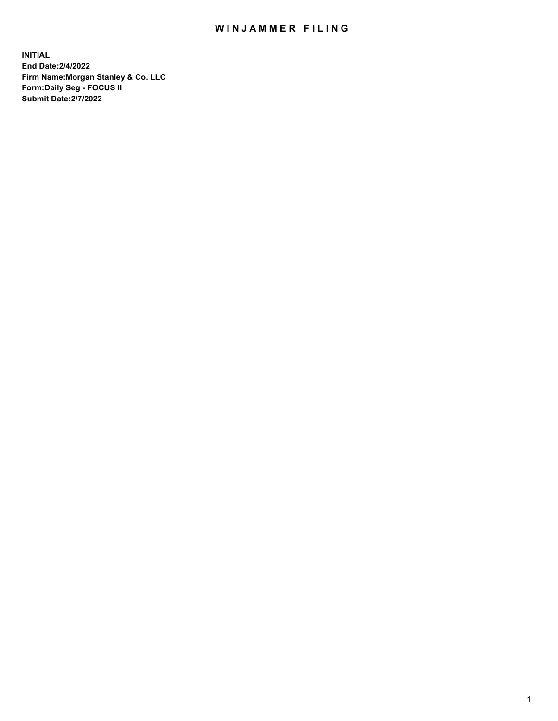## WIN JAMMER FILING

**INITIAL End Date:2/4/2022 Firm Name:Morgan Stanley & Co. LLC Form:Daily Seg - FOCUS II Submit Date:2/7/2022**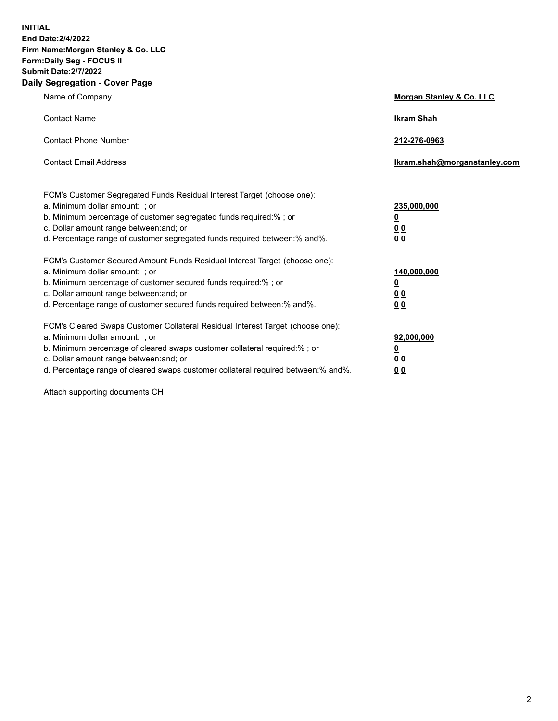**INITIAL End Date:2/4/2022 Firm Name:Morgan Stanley & Co. LLC Form:Daily Seg - FOCUS II Submit Date:2/7/2022 Daily Segregation - Cover Page**

| Name of Company                                                                                                                                                                                                                                                                                                               | Morgan Stanley & Co. LLC                                                     |
|-------------------------------------------------------------------------------------------------------------------------------------------------------------------------------------------------------------------------------------------------------------------------------------------------------------------------------|------------------------------------------------------------------------------|
| <b>Contact Name</b>                                                                                                                                                                                                                                                                                                           | <b>Ikram Shah</b>                                                            |
| <b>Contact Phone Number</b>                                                                                                                                                                                                                                                                                                   | 212-276-0963                                                                 |
| <b>Contact Email Address</b>                                                                                                                                                                                                                                                                                                  | Ikram.shah@morganstanley.com                                                 |
| FCM's Customer Segregated Funds Residual Interest Target (choose one):<br>a. Minimum dollar amount: ; or<br>b. Minimum percentage of customer segregated funds required:% ; or<br>c. Dollar amount range between: and; or<br>d. Percentage range of customer segregated funds required between: % and %.                      | 235,000,000<br><u>0</u><br><u>00</u><br>0 Q                                  |
| FCM's Customer Secured Amount Funds Residual Interest Target (choose one):<br>a. Minimum dollar amount: ; or<br>b. Minimum percentage of customer secured funds required:%; or<br>c. Dollar amount range between: and; or<br>d. Percentage range of customer secured funds required between:% and%.                           | 140,000,000<br><u>0</u><br>$\underline{0}$ $\underline{0}$<br>0 <sup>0</sup> |
| FCM's Cleared Swaps Customer Collateral Residual Interest Target (choose one):<br>a. Minimum dollar amount: ; or<br>b. Minimum percentage of cleared swaps customer collateral required:%; or<br>c. Dollar amount range between: and; or<br>d. Percentage range of cleared swaps customer collateral required between:% and%. | 92,000,000<br><u>0</u><br><u>00</u><br>00                                    |

Attach supporting documents CH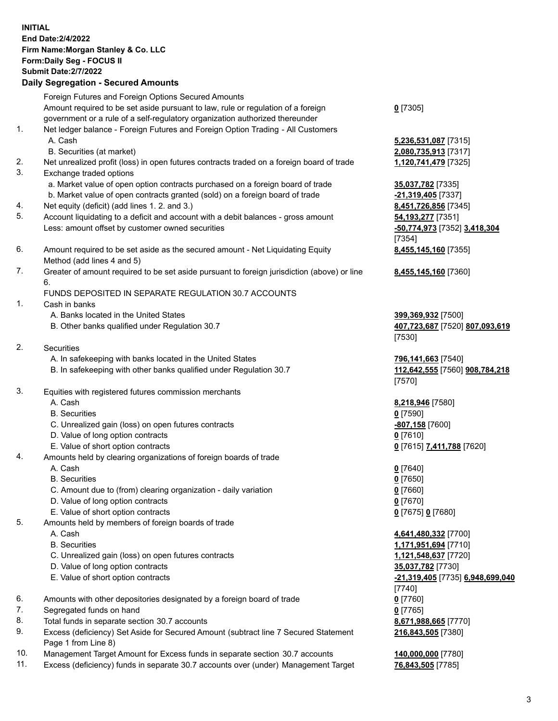| <b>INITIAL</b> | <b>End Date: 2/4/2022</b><br>Firm Name: Morgan Stanley & Co. LLC<br>Form: Daily Seg - FOCUS II<br><b>Submit Date: 2/7/2022</b><br><b>Daily Segregation - Secured Amounts</b> |                                            |
|----------------|------------------------------------------------------------------------------------------------------------------------------------------------------------------------------|--------------------------------------------|
|                | Foreign Futures and Foreign Options Secured Amounts                                                                                                                          |                                            |
|                | Amount required to be set aside pursuant to law, rule or regulation of a foreign<br>government or a rule of a self-regulatory organization authorized thereunder             | $0$ [7305]                                 |
| 1.             | Net ledger balance - Foreign Futures and Foreign Option Trading - All Customers<br>A. Cash                                                                                   | 5,236,531,087 [7315]                       |
|                | B. Securities (at market)                                                                                                                                                    | 2,080,735,913 [7317]                       |
| 2.<br>3.       | Net unrealized profit (loss) in open futures contracts traded on a foreign board of trade<br>Exchange traded options                                                         | 1,120,741,479 [7325]                       |
|                | a. Market value of open option contracts purchased on a foreign board of trade<br>b. Market value of open contracts granted (sold) on a foreign board of trade               | 35,037,782 [7335]<br>-21,319,405 [7337]    |
| 4.             | Net equity (deficit) (add lines 1. 2. and 3.)                                                                                                                                | 8,451,726,856 [7345]                       |
| 5.             | Account liquidating to a deficit and account with a debit balances - gross amount                                                                                            | 54, 193, 277 [7351]                        |
|                | Less: amount offset by customer owned securities                                                                                                                             | -50,774,973 [7352] 3,418,304<br>[7354]     |
| 6.             | Amount required to be set aside as the secured amount - Net Liquidating Equity<br>Method (add lines 4 and 5)                                                                 | 8,455,145,160 [7355]                       |
| 7.             | Greater of amount required to be set aside pursuant to foreign jurisdiction (above) or line                                                                                  | 8,455,145,160 [7360]                       |
|                | 6.<br>FUNDS DEPOSITED IN SEPARATE REGULATION 30.7 ACCOUNTS                                                                                                                   |                                            |
| 1.             | Cash in banks                                                                                                                                                                |                                            |
|                | A. Banks located in the United States                                                                                                                                        | 399,369,932 [7500]                         |
|                | B. Other banks qualified under Regulation 30.7                                                                                                                               | 407,723,687 [7520] 807,093,619<br>[7530]   |
| 2.             | Securities                                                                                                                                                                   |                                            |
|                | A. In safekeeping with banks located in the United States                                                                                                                    | 796,141,663 [7540]                         |
|                | B. In safekeeping with other banks qualified under Regulation 30.7                                                                                                           | 112,642,555 [7560] 908,784,218<br>[7570]   |
| 3.             | Equities with registered futures commission merchants                                                                                                                        |                                            |
|                | A. Cash                                                                                                                                                                      | 8,218,946 [7580]                           |
|                | <b>B.</b> Securities                                                                                                                                                         | $0$ [7590]                                 |
|                | C. Unrealized gain (loss) on open futures contracts                                                                                                                          | -807,158 [7600]                            |
|                | D. Value of long option contracts<br>E. Value of short option contracts                                                                                                      | 0[7610]                                    |
| 4.             | Amounts held by clearing organizations of foreign boards of trade                                                                                                            | 0 [7615] 7,411,788 [7620]                  |
|                | A. Cash                                                                                                                                                                      | $0$ [7640]                                 |
|                | <b>B.</b> Securities                                                                                                                                                         | $0$ [7650]                                 |
|                | C. Amount due to (from) clearing organization - daily variation                                                                                                              | $0$ [7660]                                 |
|                | D. Value of long option contracts                                                                                                                                            | $0$ [7670]                                 |
|                | E. Value of short option contracts                                                                                                                                           | 0 [7675] 0 [7680]                          |
| 5.             | Amounts held by members of foreign boards of trade                                                                                                                           |                                            |
|                | A. Cash                                                                                                                                                                      | 4,641,480,332 [7700]                       |
|                | <b>B.</b> Securities                                                                                                                                                         | 1,171,951,694 [7710]                       |
|                | C. Unrealized gain (loss) on open futures contracts                                                                                                                          | 1,121,548,637 [7720]                       |
|                | D. Value of long option contracts                                                                                                                                            | 35,037,782 [7730]                          |
|                | E. Value of short option contracts                                                                                                                                           | -21,319,405 [7735] 6,948,699,040<br>[7740] |
| 6.             | Amounts with other depositories designated by a foreign board of trade                                                                                                       | $0$ [7760]                                 |
| 7.             | Segregated funds on hand                                                                                                                                                     | $0$ [7765]                                 |
| 8.             | Total funds in separate section 30.7 accounts                                                                                                                                | 8,671,988,665 [7770]                       |
| 9.             | Excess (deficiency) Set Aside for Secured Amount (subtract line 7 Secured Statement<br>Page 1 from Line 8)                                                                   | 216,843,505 [7380]                         |

- 
- 10. Management Target Amount for Excess funds in separate section 30.7 accounts **140,000,000** [7780]<br>11. Excess (deficiency) funds in separate 30.7 accounts over (under) Management Target 76,843,505 [7785] 11. Excess (deficiency) funds in separate 30.7 accounts over (under) Management Target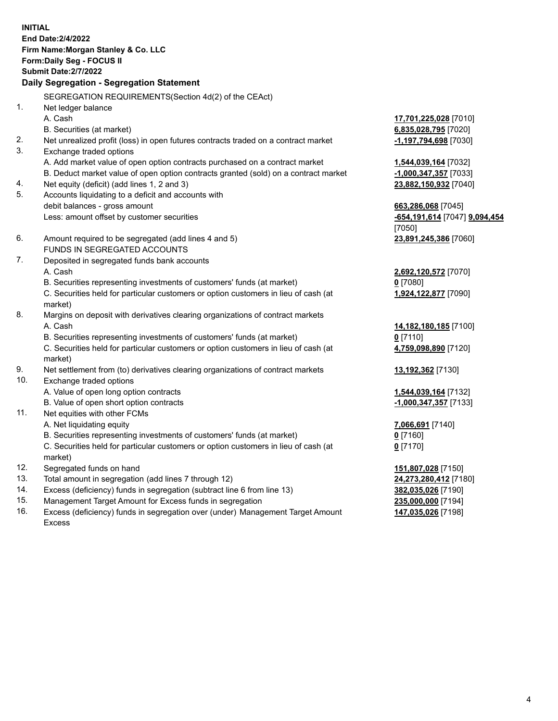**INITIAL End Date:2/4/2022 Firm Name:Morgan Stanley & Co. LLC Form:Daily Seg - FOCUS II Submit Date:2/7/2022 Daily Segregation - Segregation Statement** SEGREGATION REQUIREMENTS(Section 4d(2) of the CEAct) 1. Net ledger balance A. Cash **17,701,225,028** [7010] B. Securities (at market) **6,835,028,795** [7020] 2. Net unrealized profit (loss) in open futures contracts traded on a contract market **-1,197,794,698** [7030] 3. Exchange traded options A. Add market value of open option contracts purchased on a contract market **1,544,039,164** [7032] B. Deduct market value of open option contracts granted (sold) on a contract market **-1,000,347,357** [7033] 4. Net equity (deficit) (add lines 1, 2 and 3) **23,882,150,932** [7040] 5. Accounts liquidating to a deficit and accounts with debit balances - gross amount **663,286,068** [7045] Less: amount offset by customer securities **-654,191,614** [7047] **9,094,454** [7050] 6. Amount required to be segregated (add lines 4 and 5) **23,891,245,386** [7060] FUNDS IN SEGREGATED ACCOUNTS 7. Deposited in segregated funds bank accounts A. Cash **2,692,120,572** [7070] B. Securities representing investments of customers' funds (at market) **0** [7080] C. Securities held for particular customers or option customers in lieu of cash (at market) **1,924,122,877** [7090] 8. Margins on deposit with derivatives clearing organizations of contract markets A. Cash **14,182,180,185** [7100] B. Securities representing investments of customers' funds (at market) **0** [7110] C. Securities held for particular customers or option customers in lieu of cash (at market) **4,759,098,890** [7120] 9. Net settlement from (to) derivatives clearing organizations of contract markets **13,192,362** [7130] 10. Exchange traded options A. Value of open long option contracts **1,544,039,164** [7132] B. Value of open short option contracts **-1,000,347,357** [7133] 11. Net equities with other FCMs A. Net liquidating equity **7,066,691** [7140] B. Securities representing investments of customers' funds (at market) **0** [7160] C. Securities held for particular customers or option customers in lieu of cash (at market) **0** [7170] 12. Segregated funds on hand **151,807,028** [7150] 13. Total amount in segregation (add lines 7 through 12) **24,273,280,412** [7180] 14. Excess (deficiency) funds in segregation (subtract line 6 from line 13) **382,035,026** [7190] 15. Management Target Amount for Excess funds in segregation **235,000,000** [7194]

16. Excess (deficiency) funds in segregation over (under) Management Target Amount Excess

**147,035,026** [7198]